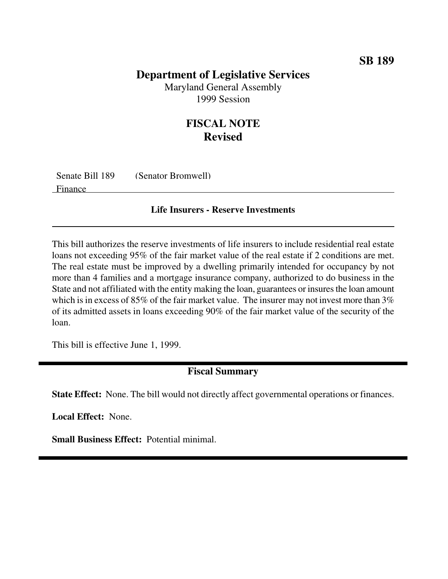## **Department of Legislative Services**

Maryland General Assembly 1999 Session

## **FISCAL NOTE Revised**

| Senate Bill 189 | (Senator Bromwell) |
|-----------------|--------------------|
| Finance         |                    |

## **Life Insurers - Reserve Investments**

This bill authorizes the reserve investments of life insurers to include residential real estate loans not exceeding 95% of the fair market value of the real estate if 2 conditions are met. The real estate must be improved by a dwelling primarily intended for occupancy by not more than 4 families and a mortgage insurance company, authorized to do business in the State and not affiliated with the entity making the loan, guarantees or insures the loan amount which is in excess of 85% of the fair market value. The insurer may not invest more than  $3\%$ of its admitted assets in loans exceeding 90% of the fair market value of the security of the loan.

This bill is effective June 1, 1999.

## **Fiscal Summary**

**State Effect:** None. The bill would not directly affect governmental operations or finances.

**Local Effect:** None.

**Small Business Effect:** Potential minimal.